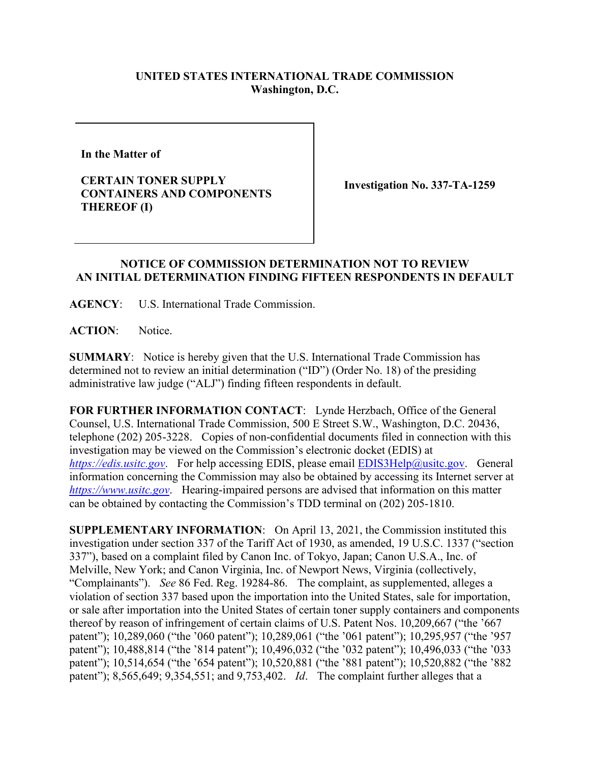## **UNITED STATES INTERNATIONAL TRADE COMMISSION Washington, D.C.**

**In the Matter of** 

**CERTAIN TONER SUPPLY CONTAINERS AND COMPONENTS THEREOF (I)**

**Investigation No. 337-TA-1259**

## **NOTICE OF COMMISSION DETERMINATION NOT TO REVIEW AN INITIAL DETERMINATION FINDING FIFTEEN RESPONDENTS IN DEFAULT**

**AGENCY**: U.S. International Trade Commission.

**ACTION**: Notice.

**SUMMARY**: Notice is hereby given that the U.S. International Trade Commission has determined not to review an initial determination ("ID") (Order No. 18) of the presiding administrative law judge ("ALJ") finding fifteen respondents in default.

**FOR FURTHER INFORMATION CONTACT**: Lynde Herzbach, Office of the General Counsel, U.S. International Trade Commission, 500 E Street S.W., Washington, D.C. 20436, telephone (202) 205-3228. Copies of non-confidential documents filed in connection with this investigation may be viewed on the Commission's electronic docket (EDIS) at *[https://edis.usitc.gov](https://edis.usitc.gov/)*. For help accessing EDIS, please email [EDIS3Help@usitc.gov.](mailto:EDIS3Help@usitc.gov) General information concerning the Commission may also be obtained by accessing its Internet server at *[https://www.usitc.gov](https://www.usitc.gov/)*. Hearing-impaired persons are advised that information on this matter can be obtained by contacting the Commission's TDD terminal on (202) 205-1810.

**SUPPLEMENTARY INFORMATION**: On April 13, 2021, the Commission instituted this investigation under section 337 of the Tariff Act of 1930, as amended, 19 U.S.C. 1337 ("section 337"), based on a complaint filed by Canon Inc. of Tokyo, Japan; Canon U.S.A., Inc. of Melville, New York; and Canon Virginia, Inc. of Newport News, Virginia (collectively, "Complainants"). *See* 86 Fed. Reg. 19284-86. The complaint, as supplemented, alleges a violation of section 337 based upon the importation into the United States, sale for importation, or sale after importation into the United States of certain toner supply containers and components thereof by reason of infringement of certain claims of U.S. Patent Nos. 10,209,667 ("the '667 patent"); 10,289,060 ("the '060 patent"); 10,289,061 ("the '061 patent"); 10,295,957 ("the '957 patent"); 10,488,814 ("the '814 patent"); 10,496,032 ("the '032 patent"); 10,496,033 ("the '033 patent"); 10,514,654 ("the '654 patent"); 10,520,881 ("the '881 patent"); 10,520,882 ("the '882 patent"); 8,565,649; 9,354,551; and 9,753,402. *Id*. The complaint further alleges that a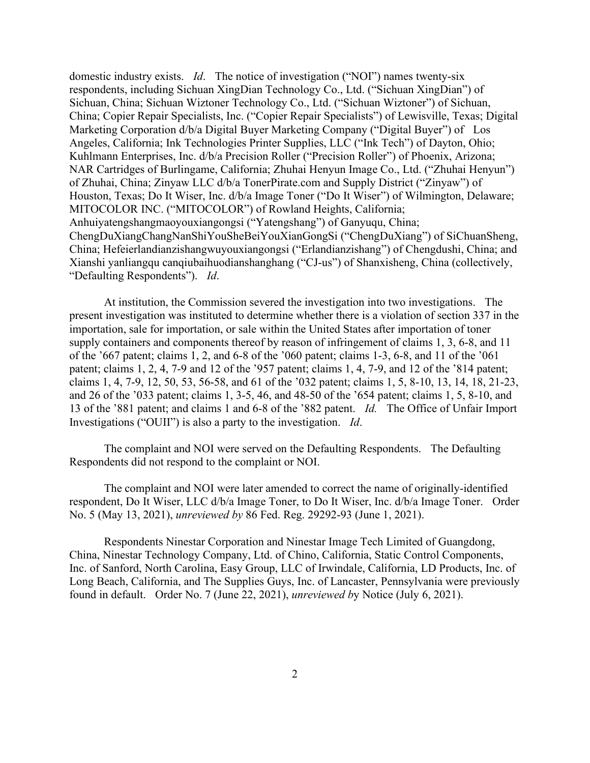domestic industry exists. *Id*. The notice of investigation ("NOI") names twenty-six respondents, including Sichuan XingDian Technology Co., Ltd. ("Sichuan XingDian") of Sichuan, China; Sichuan Wiztoner Technology Co., Ltd. ("Sichuan Wiztoner") of Sichuan, China; Copier Repair Specialists, Inc. ("Copier Repair Specialists") of Lewisville, Texas; Digital Marketing Corporation d/b/a Digital Buyer Marketing Company ("Digital Buyer") of Los Angeles, California; Ink Technologies Printer Supplies, LLC ("Ink Tech") of Dayton, Ohio; Kuhlmann Enterprises, Inc. d/b/a Precision Roller ("Precision Roller") of Phoenix, Arizona; NAR Cartridges of Burlingame, California; Zhuhai Henyun Image Co., Ltd. ("Zhuhai Henyun") of Zhuhai, China; Zinyaw LLC d/b/a TonerPirate.com and Supply District ("Zinyaw") of Houston, Texas; Do It Wiser, Inc. d/b/a Image Toner ("Do It Wiser") of Wilmington, Delaware; MITOCOLOR INC. ("MITOCOLOR") of Rowland Heights, California; Anhuiyatengshangmaoyouxiangongsi ("Yatengshang") of Ganyuqu, China; ChengDuXiangChangNanShiYouSheBeiYouXianGongSi ("ChengDuXiang") of SiChuanSheng, China; Hefeierlandianzishangwuyouxiangongsi ("Erlandianzishang") of Chengdushi, China; and Xianshi yanliangqu canqiubaihuodianshanghang ("CJ-us") of Shanxisheng, China (collectively, "Defaulting Respondents"). *Id*.

At institution, the Commission severed the investigation into two investigations. The present investigation was instituted to determine whether there is a violation of section 337 in the importation, sale for importation, or sale within the United States after importation of toner supply containers and components thereof by reason of infringement of claims 1, 3, 6-8, and 11 of the '667 patent; claims 1, 2, and 6-8 of the '060 patent; claims 1-3, 6-8, and 11 of the '061 patent; claims 1, 2, 4, 7-9 and 12 of the '957 patent; claims 1, 4, 7-9, and 12 of the '814 patent; claims 1, 4, 7-9, 12, 50, 53, 56-58, and 61 of the '032 patent; claims 1, 5, 8-10, 13, 14, 18, 21-23, and 26 of the '033 patent; claims 1, 3-5, 46, and 48-50 of the '654 patent; claims 1, 5, 8-10, and 13 of the '881 patent; and claims 1 and 6-8 of the '882 patent. *Id.* The Office of Unfair Import Investigations ("OUII") is also a party to the investigation. *Id*.

The complaint and NOI were served on the Defaulting Respondents. The Defaulting Respondents did not respond to the complaint or NOI.

The complaint and NOI were later amended to correct the name of originally-identified respondent, Do It Wiser, LLC d/b/a Image Toner, to Do It Wiser, Inc. d/b/a Image Toner. Order No. 5 (May 13, 2021), *unreviewed by* 86 Fed. Reg. 29292-93 (June 1, 2021).

Respondents Ninestar Corporation and Ninestar Image Tech Limited of Guangdong, China, Ninestar Technology Company, Ltd. of Chino, California, Static Control Components, Inc. of Sanford, North Carolina, Easy Group, LLC of Irwindale, California, LD Products, Inc. of Long Beach, California, and The Supplies Guys, Inc. of Lancaster, Pennsylvania were previously found in default. Order No. 7 (June 22, 2021), *unreviewed b*y Notice (July 6, 2021).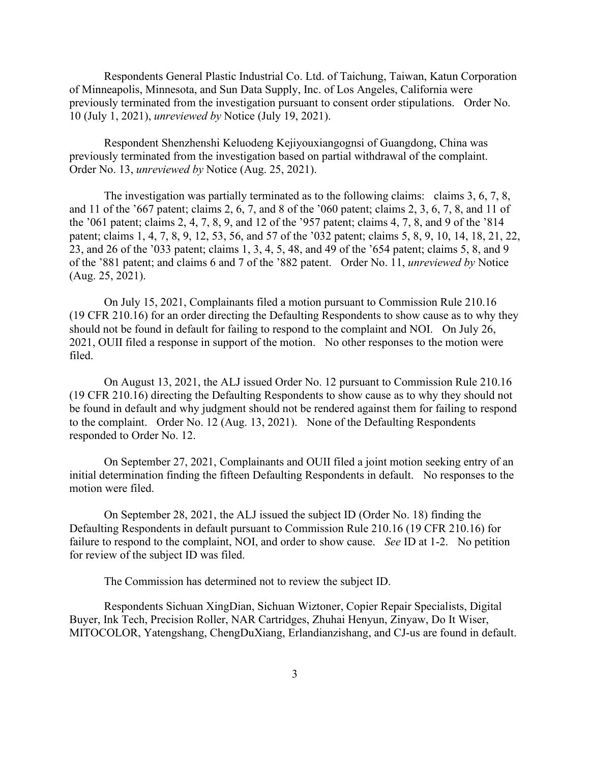Respondents General Plastic Industrial Co. Ltd. of Taichung, Taiwan, Katun Corporation of Minneapolis, Minnesota, and Sun Data Supply, Inc. of Los Angeles, California were previously terminated from the investigation pursuant to consent order stipulations. Order No. 10 (July 1, 2021), *unreviewed by* Notice (July 19, 2021).

Respondent Shenzhenshi Keluodeng Kejiyouxiangognsi of Guangdong, China was previously terminated from the investigation based on partial withdrawal of the complaint. Order No. 13, *unreviewed by* Notice (Aug. 25, 2021).

The investigation was partially terminated as to the following claims: claims 3, 6, 7, 8, and 11 of the '667 patent; claims 2, 6, 7, and 8 of the '060 patent; claims 2, 3, 6, 7, 8, and 11 of the '061 patent; claims 2, 4, 7, 8, 9, and 12 of the '957 patent; claims 4, 7, 8, and 9 of the '814 patent; claims 1, 4, 7, 8, 9, 12, 53, 56, and 57 of the '032 patent; claims 5, 8, 9, 10, 14, 18, 21, 22, 23, and 26 of the '033 patent; claims 1, 3, 4, 5, 48, and 49 of the '654 patent; claims 5, 8, and 9 of the '881 patent; and claims 6 and 7 of the '882 patent. Order No. 11, *unreviewed by* Notice (Aug. 25, 2021).

On July 15, 2021, Complainants filed a motion pursuant to Commission Rule 210.16 (19 CFR 210.16) for an order directing the Defaulting Respondents to show cause as to why they should not be found in default for failing to respond to the complaint and NOI. On July 26, 2021, OUII filed a response in support of the motion. No other responses to the motion were filed.

On August 13, 2021, the ALJ issued Order No. 12 pursuant to Commission Rule 210.16 (19 CFR 210.16) directing the Defaulting Respondents to show cause as to why they should not be found in default and why judgment should not be rendered against them for failing to respond to the complaint. Order No. 12 (Aug. 13, 2021). None of the Defaulting Respondents responded to Order No. 12.

On September 27, 2021, Complainants and OUII filed a joint motion seeking entry of an initial determination finding the fifteen Defaulting Respondents in default. No responses to the motion were filed.

On September 28, 2021, the ALJ issued the subject ID (Order No. 18) finding the Defaulting Respondents in default pursuant to Commission Rule 210.16 (19 CFR 210.16) for failure to respond to the complaint, NOI, and order to show cause. *See* ID at 1-2. No petition for review of the subject ID was filed.

The Commission has determined not to review the subject ID.

Respondents Sichuan XingDian, Sichuan Wiztoner, Copier Repair Specialists, Digital Buyer, Ink Tech, Precision Roller, NAR Cartridges, Zhuhai Henyun, Zinyaw, Do It Wiser, MITOCOLOR, Yatengshang, ChengDuXiang, Erlandianzishang, and CJ-us are found in default.